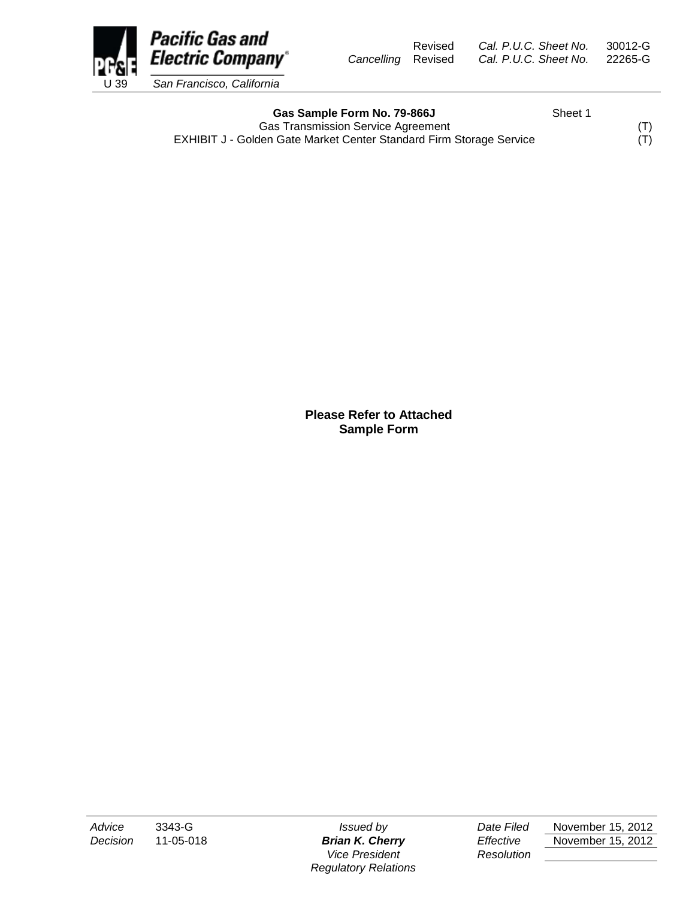Revised *Cal. P.U.C. Sheet No.* 30012-G *Cancelling* Revised *Cal. P.U.C. Sheet No.* 22265-G



Gas Sample Form No. 79-866J Sheet 1 Gas Transmission Service Agreement<br>
den Gate Market Center Standard Firm Storage Service (T) EXHIBIT J - Golden Gate Market Center Standard Firm Storage Service

**Please Refer to Attached Sample Form**

*Vice President Resolution Regulatory Relations*

*Advice* 3343-G *Issued by Date Filed* November 15, 2012 *Decision* 11-05-018 *Brian K. Cherry Effective* November 15, 2012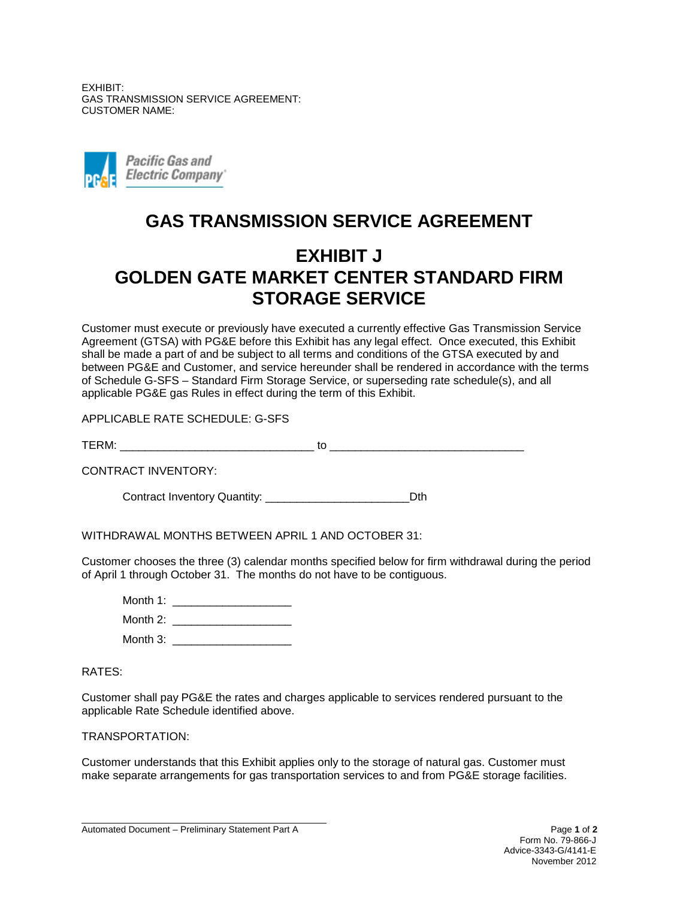EXHIBIT: GAS TRANSMISSION SERVICE AGREEMENT: CUSTOMER NAME:



## **GAS TRANSMISSION SERVICE AGREEMENT**

## **EXHIBIT J GOLDEN GATE MARKET CENTER STANDARD FIRM STORAGE SERVICE**

Customer must execute or previously have executed a currently effective Gas Transmission Service Agreement (GTSA) with PG&E before this Exhibit has any legal effect. Once executed, this Exhibit shall be made a part of and be subject to all terms and conditions of the GTSA executed by and between PG&E and Customer, and service hereunder shall be rendered in accordance with the terms of Schedule G-SFS – Standard Firm Storage Service, or superseding rate schedule(s), and all applicable PG&E gas Rules in effect during the term of this Exhibit.

APPLICABLE RATE SCHEDULE: G-SFS

 $\sf{TERM}:$   $\sf{to}$ 

CONTRACT INVENTORY:

Contract Inventory Quantity: \_\_\_\_\_\_\_\_\_\_\_\_\_\_\_\_\_\_\_\_\_\_\_Dth

WITHDRAWAL MONTHS BETWEEN APRIL 1 AND OCTOBER 31:

Customer chooses the three (3) calendar months specified below for firm withdrawal during the period of April 1 through October 31. The months do not have to be contiguous.

Month 1: \_\_\_\_\_\_\_\_\_\_\_\_\_\_\_\_\_\_\_ Month  $2$ : Month 3: \_\_\_\_\_\_\_\_\_\_\_\_\_\_\_\_\_\_\_

## RATES:

Customer shall pay PG&E the rates and charges applicable to services rendered pursuant to the applicable Rate Schedule identified above.

TRANSPORTATION:

Customer understands that this Exhibit applies only to the storage of natural gas. Customer must make separate arrangements for gas transportation services to and from PG&E storage facilities.

Automated Document – Preliminary Statement Part A Page **1** of **2**